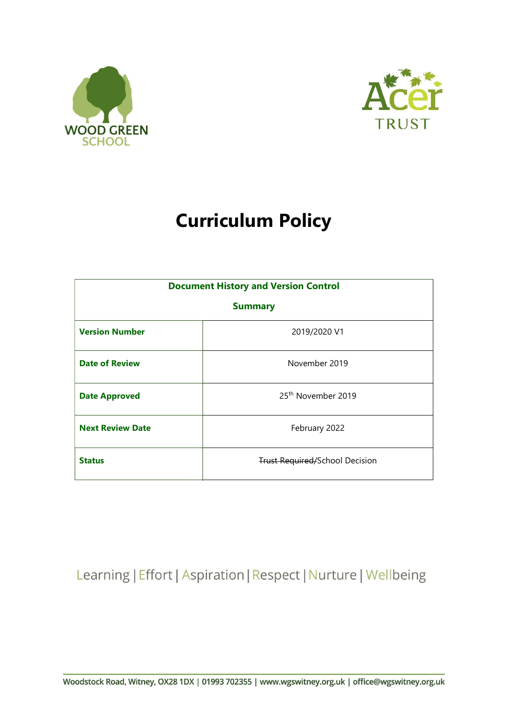



# Curriculum Policy

| <b>Document History and Version Control</b> |                                       |
|---------------------------------------------|---------------------------------------|
| <b>Summary</b>                              |                                       |
| <b>Version Number</b>                       | 2019/2020 V1                          |
| <b>Date of Review</b>                       | November 2019                         |
| <b>Date Approved</b>                        | 25 <sup>th</sup> November 2019        |
| <b>Next Review Date</b>                     | February 2022                         |
| <b>Status</b>                               | <b>Trust Required/School Decision</b> |

Learning | Effort | Aspiration | Respect | Nurture | Wellbeing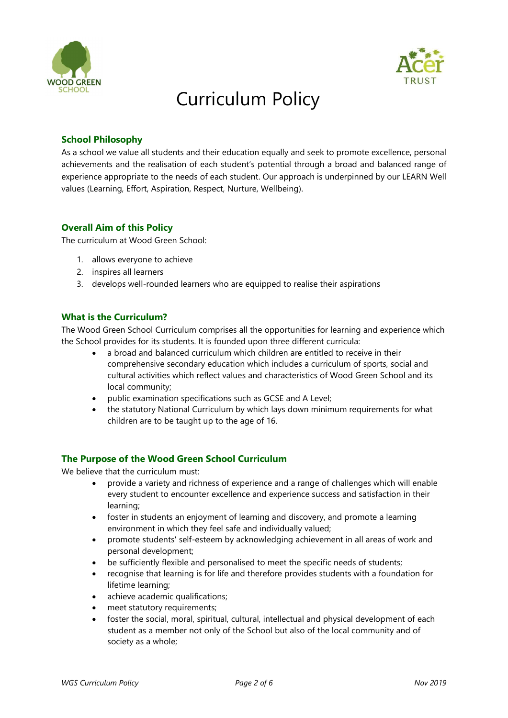



# Curriculum Policy

#### School Philosophy

As a school we value all students and their education equally and seek to promote excellence, personal achievements and the realisation of each student's potential through a broad and balanced range of experience appropriate to the needs of each student. Our approach is underpinned by our LEARN Well values (Learning, Effort, Aspiration, Respect, Nurture, Wellbeing).

#### Overall Aim of this Policy

The curriculum at Wood Green School:

- 1. allows everyone to achieve
- 2. inspires all learners
- 3. develops well-rounded learners who are equipped to realise their aspirations

#### What is the Curriculum?

The Wood Green School Curriculum comprises all the opportunities for learning and experience which the School provides for its students. It is founded upon three different curricula:

- a broad and balanced curriculum which children are entitled to receive in their comprehensive secondary education which includes a curriculum of sports, social and cultural activities which reflect values and characteristics of Wood Green School and its local community;
- public examination specifications such as GCSE and A Level;
- the statutory National Curriculum by which lays down minimum requirements for what children are to be taught up to the age of 16.

#### The Purpose of the Wood Green School Curriculum

We believe that the curriculum must:

- provide a variety and richness of experience and a range of challenges which will enable every student to encounter excellence and experience success and satisfaction in their learning;
- foster in students an enjoyment of learning and discovery, and promote a learning environment in which they feel safe and individually valued;
- promote students' self-esteem by acknowledging achievement in all areas of work and personal development;
- be sufficiently flexible and personalised to meet the specific needs of students;
- recognise that learning is for life and therefore provides students with a foundation for lifetime learning;
- achieve academic qualifications:
- meet statutory requirements;
- foster the social, moral, spiritual, cultural, intellectual and physical development of each student as a member not only of the School but also of the local community and of society as a whole;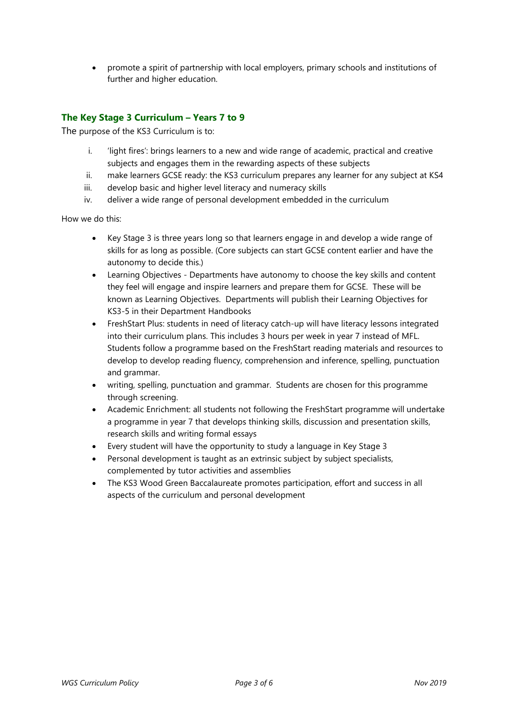promote a spirit of partnership with local employers, primary schools and institutions of further and higher education.

### The Key Stage 3 Curriculum – Years 7 to 9

The purpose of the KS3 Curriculum is to:

- i. 'light fires': brings learners to a new and wide range of academic, practical and creative subjects and engages them in the rewarding aspects of these subjects
- ii. make learners GCSE ready: the KS3 curriculum prepares any learner for any subject at KS4
- iii. develop basic and higher level literacy and numeracy skills
- iv. deliver a wide range of personal development embedded in the curriculum

How we do this:

- Key Stage 3 is three years long so that learners engage in and develop a wide range of skills for as long as possible. (Core subjects can start GCSE content earlier and have the autonomy to decide this.)
- Learning Objectives Departments have autonomy to choose the key skills and content they feel will engage and inspire learners and prepare them for GCSE. These will be known as Learning Objectives. Departments will publish their Learning Objectives for KS3-5 in their Department Handbooks
- FreshStart Plus: students in need of literacy catch-up will have literacy lessons integrated into their curriculum plans. This includes 3 hours per week in year 7 instead of MFL. Students follow a programme based on the FreshStart reading materials and resources to develop to develop reading fluency, comprehension and inference, spelling, punctuation and grammar.
- writing, spelling, punctuation and grammar. Students are chosen for this programme through screening.
- Academic Enrichment: all students not following the FreshStart programme will undertake a programme in year 7 that develops thinking skills, discussion and presentation skills, research skills and writing formal essays
- Every student will have the opportunity to study a language in Key Stage 3
- Personal development is taught as an extrinsic subject by subject specialists, complemented by tutor activities and assemblies
- The KS3 Wood Green Baccalaureate promotes participation, effort and success in all aspects of the curriculum and personal development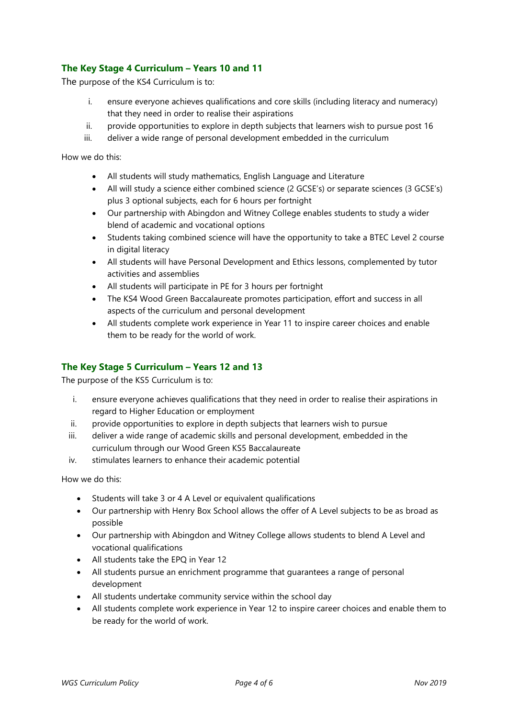## The Key Stage 4 Curriculum – Years 10 and 11

The purpose of the KS4 Curriculum is to:

- i. ensure everyone achieves qualifications and core skills (including literacy and numeracy) that they need in order to realise their aspirations
- ii. provide opportunities to explore in depth subjects that learners wish to pursue post 16
- iii. deliver a wide range of personal development embedded in the curriculum

How we do this:

- All students will study mathematics, English Language and Literature
- All will study a science either combined science (2 GCSE's) or separate sciences (3 GCSE's) plus 3 optional subjects, each for 6 hours per fortnight
- Our partnership with Abingdon and Witney College enables students to study a wider blend of academic and vocational options
- Students taking combined science will have the opportunity to take a BTEC Level 2 course in digital literacy
- All students will have Personal Development and Ethics lessons, complemented by tutor activities and assemblies
- All students will participate in PE for 3 hours per fortnight
- The KS4 Wood Green Baccalaureate promotes participation, effort and success in all aspects of the curriculum and personal development
- All students complete work experience in Year 11 to inspire career choices and enable them to be ready for the world of work.

#### The Key Stage 5 Curriculum – Years 12 and 13

The purpose of the KS5 Curriculum is to:

- i. ensure everyone achieves qualifications that they need in order to realise their aspirations in regard to Higher Education or employment
- ii. provide opportunities to explore in depth subjects that learners wish to pursue
- iii. deliver a wide range of academic skills and personal development, embedded in the curriculum through our Wood Green KS5 Baccalaureate
- iv. stimulates learners to enhance their academic potential

How we do this:

- Students will take 3 or 4 A Level or equivalent qualifications
- Our partnership with Henry Box School allows the offer of A Level subjects to be as broad as possible
- Our partnership with Abingdon and Witney College allows students to blend A Level and vocational qualifications
- All students take the EPQ in Year 12
- All students pursue an enrichment programme that guarantees a range of personal development
- All students undertake community service within the school day
- All students complete work experience in Year 12 to inspire career choices and enable them to be ready for the world of work.